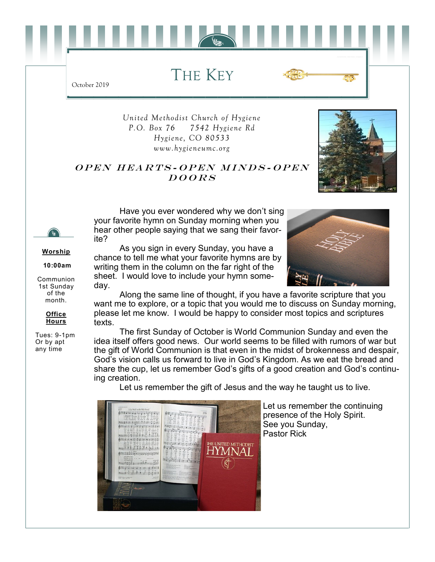THE KEY

*United Methodist Church of Hygiene P.O. Box 76 7542 Hygiene Rd Hygiene, CO 80533 www.hygieneumc.org*

#### OPEN HEARTS-OPEN MINDS-OPEN  $DOORS$

Have you ever wondered why we don't sing your favorite hymn on Sunday morning when you hear other people saying that we sang their favorite?

**Worship**

**10:00am**

Communion 1st Sunday of the month.

> **Office Hours**

Tues: 9-1pm Or by apt any time

As you sign in every Sunday, you have a chance to tell me what your favorite hymns are by writing them in the column on the far right of the sheet. I would love to include your hymn someday.

Along the same line of thought, if you have a favorite scripture that you want me to explore, or a topic that you would me to discuss on Sunday morning, please let me know. I would be happy to consider most topics and scriptures texts.

The first Sunday of October is World Communion Sunday and even the idea itself offers good news. Our world seems to be filled with rumors of war but the gift of World Communion is that even in the midst of brokenness and despair, God's vision calls us forward to live in God's Kingdom. As we eat the bread and share the cup, let us remember God's gifts of a good creation and God's continuing creation.

Let us remember the gift of Jesus and the way he taught us to live.



Let us remember the continuing presence of the Holy Spirit. See you Sunday, Pastor Rick



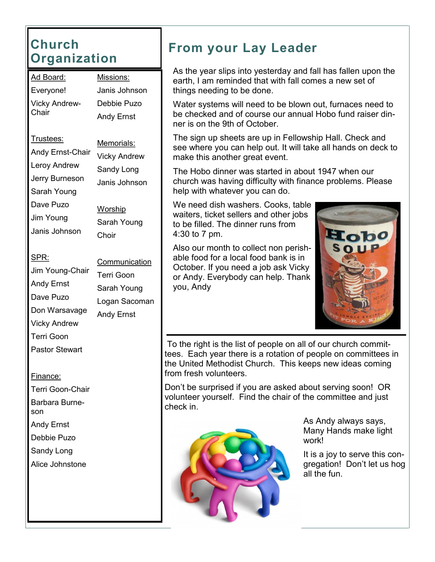# **Church Organization**

| <u> Ad Board:</u>      | Missions:                        |  |  |
|------------------------|----------------------------------|--|--|
| Everyone!              | Janis Johnson                    |  |  |
| Vicky Andrew-<br>Chair | Debbie Puzo<br><b>Andy Ernst</b> |  |  |
|                        |                                  |  |  |
|                        | Memorials:                       |  |  |
| Andy Ernst-Chair       | <b>Vicky Andrew</b>              |  |  |
| Leroy Andrew           | Sandy Long                       |  |  |
| Jerry Burneson         | Janis Johnson                    |  |  |
| Sarah Young            |                                  |  |  |
| Dave Puzo              | Worship                          |  |  |

Sarah Young

**Communication** 

Logan Sacoman

Terri Goon Sarah Young

Andy Ernst

Choir

Jim Young Janis Johnson

SPR:

Jim Young-Chair Andy Ernst Dave Puzo Don Warsavage Vicky Andrew Terri Goon Pastor Stewart

#### Finance:

Terri Goon-Chair Barbara Burneson Andy Ernst Debbie Puzo Sandy Long Alice Johnstone

**From your Lay Leader**

As the year slips into yesterday and fall has fallen upon the earth, I am reminded that with fall comes a new set of things needing to be done.

Water systems will need to be blown out, furnaces need to be checked and of course our annual Hobo fund raiser dinner is on the 9th of October.

The sign up sheets are up in Fellowship Hall. Check and see where you can help out. It will take all hands on deck to make this another great event.

The Hobo dinner was started in about 1947 when our church was having difficulty with finance problems. Please help with whatever you can do.

We need dish washers. Cooks, table waiters, ticket sellers and other jobs to be filled. The dinner runs from 4:30 to 7 pm.

Also our month to collect non perishable food for a local food bank is in October. If you need a job ask Vicky or Andy. Everybody can help. Thank you, Andy



To the right is the list of people on all of our church committees. Each year there is a rotation of people on committees in the United Methodist Church. This keeps new ideas coming from fresh volunteers.

Don't be surprised if you are asked about serving soon! OR volunteer yourself. Find the chair of the committee and just check in.



As Andy always says, Many Hands make light work!

It is a joy to serve this congregation! Don't let us hog all the fun.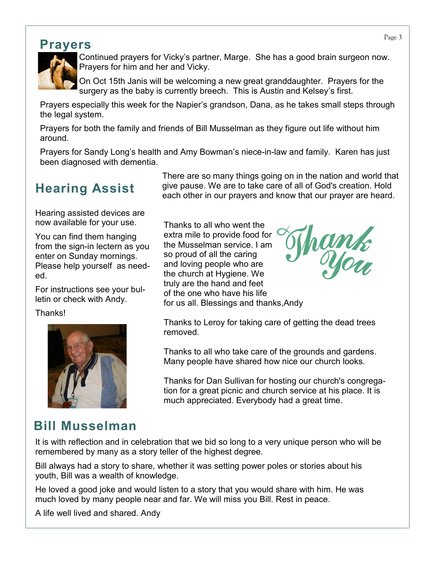#### **Prayers**



Continued prayers for Vicky's partner, Marge. She has a good brain surgeon now. Prayers for him and her and Vicky.

On Oct 15th Janis will be welcoming a new great granddaughter. Prayers for the surgery as the baby is currently breech. This is Austin and Kelsey's first.

Prayers especially this week for the Napier's grandson, Dana, as he takes small steps through the legal system.

Prayers for both the family and friends of Bill Musselman as they figure out life without him around.

Prayers for Sandy Long's health and Amy Bowman's niece-in-law and family. Karen has just been diagnosed with dementia.

# **Hearing Assist**

Hearing assisted devices are now available for your use.

You can find them hanging from the sign-in lectern as you enter on Sunday mornings. Please help yourself as needed.

For instructions see your bulletin or check with Andy.

Thanks!



There are so many things going on in the nation and world that give pause. We are to take care of all of God's creation. Hold each other in our prayers and know that our prayer are heard.

Thanks to all who went the extra mile to provide food for the Musselman service. I am so proud of all the caring and loving people who are the church at Hygiene. We truly are the hand and feet of the one who have his life for us all. Blessings and thanks,Andy



Thanks to Leroy for taking care of getting the dead trees removed.

Thanks to all who take care of the grounds and gardens. Many people have shared how nice our church looks.

Thanks for Dan Sullivan for hosting our church's congregation for a great picnic and church service at his place. It is much appreciated. Everybody had a great time.

# **Bill Musselman**

It is with reflection and in celebration that we bid so long to a very unique person who will be remembered by many as a story teller of the highest degree.

Bill always had a story to share, whether it was setting power poles or stories about his youth, Bill was a wealth of knowledge.

He loved a good joke and would listen to a story that you would share with him. He was much loved by many people near and far. We will miss you Bill. Rest in peace.

A life well lived and shared. Andy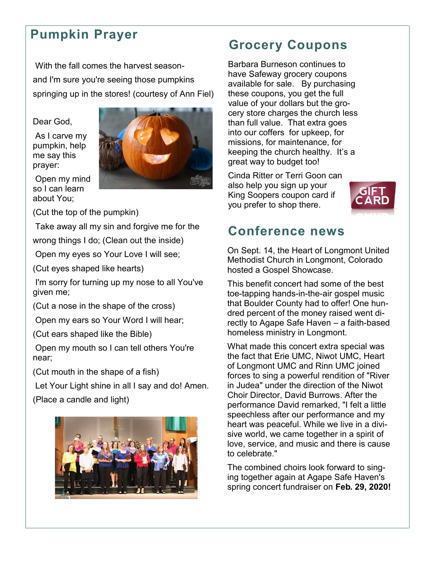## **Pumpkin Prayer**

With the fall comes the harvest seasonand I'm sure you're seeing those pumpkins springing up in the stores! (courtesy of Ann Fiel)

Dear God,

As I carve my pumpkin, help me say this prayer:



(Cut the top of the pumpkin)

Take away all my sin and forgive me for the

wrong things I do; (Clean out the inside)

Open my eyes so Your Love I will see;

(Cut eyes shaped like hearts)

I'm sorry for turning up my nose to all You've given me;

(Cut a nose in the shape of the cross)

Open my ears so Your Word I will hear;

(Cut ears shaped like the Bible)

Open my mouth so I can tell others You're near;

(Cut mouth in the shape of a fish)

Let Your Light shine in all I say and do! Amen.

(Place a candle and light)



## **Grocery Coupons**

Barbara Burneson continues to have Safeway grocery coupons available for sale. By purchasing these coupons, you get the full value of your dollars but the grocery store charges the church less than full value. That extra goes into our coffers for upkeep, for missions, for maintenance, for keeping the church healthy. It's a great way to budget too!

Cinda Ritter or Terri Goon can also help you sign up your King Soopers coupon card if you prefer to shop there.



### **Conference news**

On Sept. 14, the Heart of Longmont United Methodist Church in Longmont, Colorado hosted a Gospel Showcase.

This benefit concert had some of the best toe-tapping hands-in-the-air gospel music that Boulder County had to offer! One hundred percent of the money raised went directly to Agape Safe Haven – a faith-based homeless ministry in Longmont.

What made this concert extra special was the fact that Erie UMC, Niwot UMC, Heart of Longmont UMC and Rinn UMC joined forces to sing a powerful rendition of "River in Judea" under the direction of the Niwot Choir Director, David Burrows. After the performance David remarked, "I felt a little speechless after our performance and my heart was peaceful. While we live in a divisive world, we came together in a spirit of love, service, and music and there is cause to celebrate."

The combined choirs look forward to singing together again at Agape Safe Haven's spring concert fundraiser on **Feb. 29, 2020!**